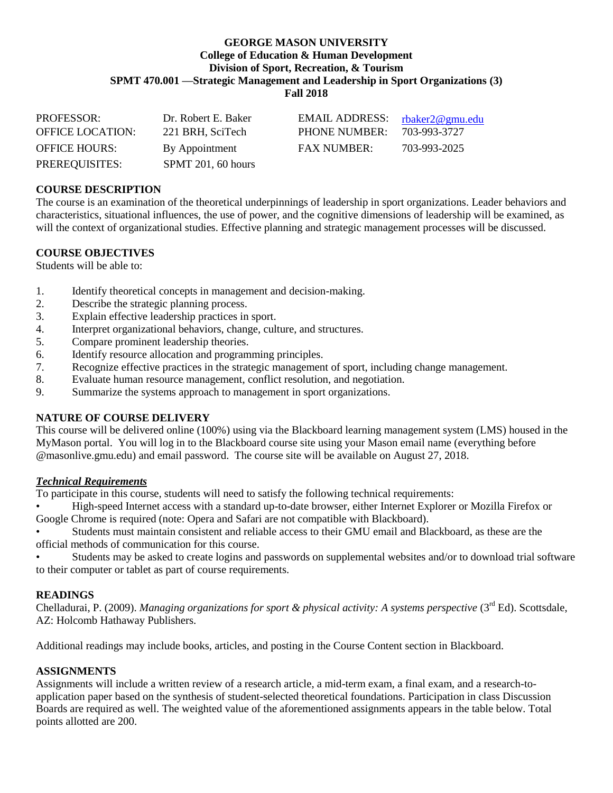#### **GEORGE MASON UNIVERSITY College of Education & Human Development Division of Sport, Recreation, & Tourism SPMT 470.001 —Strategic Management and Leadership in Sport Organizations (3) Fall 2018**

| <b>PROFESSOR:</b>    | Dr. Robert E. Baker | EMAIL ADDRESS:       | rbaker2@gmu.edu |
|----------------------|---------------------|----------------------|-----------------|
| OFFICE LOCATION:     | 221 BRH, SciTech    | <b>PHONE NUMBER:</b> | 703-993-3727    |
| <b>OFFICE HOURS:</b> | By Appointment      | <b>FAX NUMBER:</b>   | 703-993-2025    |
| PREREQUISITES:       | SPMT 201, 60 hours  |                      |                 |

## **COURSE DESCRIPTION**

The course is an examination of the theoretical underpinnings of leadership in sport organizations. Leader behaviors and characteristics, situational influences, the use of power, and the cognitive dimensions of leadership will be examined, as will the context of organizational studies. Effective planning and strategic management processes will be discussed.

#### **COURSE OBJECTIVES**

Students will be able to:

- 1. Identify theoretical concepts in management and decision-making.
- 2. Describe the strategic planning process.
- 3. Explain effective leadership practices in sport.
- 4. Interpret organizational behaviors, change, culture, and structures.
- 5. Compare prominent leadership theories.
- 6. Identify resource allocation and programming principles.
- 7. Recognize effective practices in the strategic management of sport, including change management.
- 8. Evaluate human resource management, conflict resolution, and negotiation.
- 9. Summarize the systems approach to management in sport organizations.

#### **NATURE OF COURSE DELIVERY**

This course will be delivered online (100%) using via the Blackboard learning management system (LMS) housed in the MyMason portal. You will log in to the Blackboard course site using your Mason email name (everything before @masonlive.gmu.edu) and email password. The course site will be available on August 27, 2018.

#### *Technical Requirements*

To participate in this course, students will need to satisfy the following technical requirements:

• High-speed Internet access with a standard up-to-date browser, either Internet Explorer or Mozilla Firefox or Google Chrome is required (note: Opera and Safari are not compatible with Blackboard).

• Students must maintain consistent and reliable access to their GMU email and Blackboard, as these are the official methods of communication for this course.

• Students may be asked to create logins and passwords on supplemental websites and/or to download trial software to their computer or tablet as part of course requirements.

#### **READINGS**

Chelladurai, P. (2009). *Managing organizations for sport & physical activity: A systems perspective* (3<sup>rd</sup> Ed). Scottsdale, AZ: Holcomb Hathaway Publishers.

Additional readings may include books, articles, and posting in the Course Content section in Blackboard.

#### **ASSIGNMENTS**

Assignments will include a written review of a research article, a mid-term exam, a final exam, and a research-toapplication paper based on the synthesis of student-selected theoretical foundations. Participation in class Discussion Boards are required as well. The weighted value of the aforementioned assignments appears in the table below. Total points allotted are 200.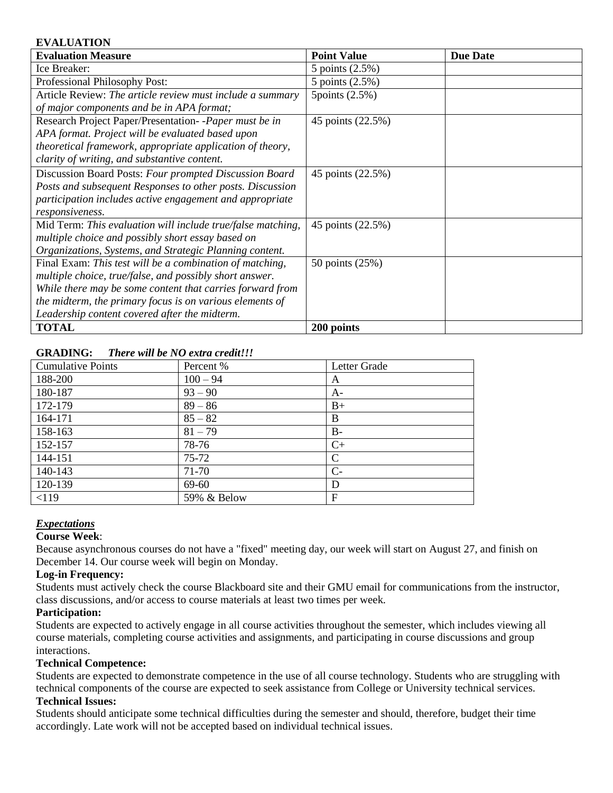#### **EVALUATION**

| <b>Evaluation Measure</b>                                   | <b>Point Value</b> | <b>Due Date</b> |
|-------------------------------------------------------------|--------------------|-----------------|
| Ice Breaker:                                                | 5 points (2.5%)    |                 |
| Professional Philosophy Post:                               | 5 points (2.5%)    |                 |
| Article Review: The article review must include a summary   | 5 points $(2.5\%)$ |                 |
| of major components and be in APA format;                   |                    |                 |
| Research Project Paper/Presentation--Paper must be in       | 45 points (22.5%)  |                 |
| APA format. Project will be evaluated based upon            |                    |                 |
| theoretical framework, appropriate application of theory,   |                    |                 |
| clarity of writing, and substantive content.                |                    |                 |
| Discussion Board Posts: Four prompted Discussion Board      | 45 points (22.5%)  |                 |
| Posts and subsequent Responses to other posts. Discussion   |                    |                 |
| participation includes active engagement and appropriate    |                    |                 |
| responsiveness.                                             |                    |                 |
| Mid Term: This evaluation will include true/false matching, | 45 points (22.5%)  |                 |
| multiple choice and possibly short essay based on           |                    |                 |
| Organizations, Systems, and Strategic Planning content.     |                    |                 |
| Final Exam: This test will be a combination of matching,    | 50 points (25%)    |                 |
| multiple choice, true/false, and possibly short answer.     |                    |                 |
| While there may be some content that carries forward from   |                    |                 |
| the midterm, the primary focus is on various elements of    |                    |                 |
| Leadership content covered after the midterm.               |                    |                 |
| <b>TOTAL</b>                                                | 200 points         |                 |

### **GRADING:** *There will be NO extra credit!!!*

| <b>Cumulative Points</b> | Percent %   | Letter Grade |
|--------------------------|-------------|--------------|
| 188-200                  | $100 - 94$  | A            |
| 180-187                  | $93 - 90$   | $A-$         |
| 172-179                  | $89 - 86$   | $B+$         |
| 164-171                  | $85 - 82$   | B            |
| 158-163                  | $81 - 79$   | $B -$        |
| 152-157                  | 78-76       | $C+$         |
| 144-151                  | $75 - 72$   | C            |
| 140-143                  | 71-70       | $C-$         |
| 120-139                  | 69-60       | D            |
| < 119                    | 59% & Below | $\mathbf{F}$ |

## *Expectations*

## **Course Week**:

Because asynchronous courses do not have a "fixed" meeting day, our week will start on August 27, and finish on December 14. Our course week will begin on Monday.

#### **Log-in Frequency:**

Students must actively check the course Blackboard site and their GMU email for communications from the instructor, class discussions, and/or access to course materials at least two times per week.

#### **Participation:**

Students are expected to actively engage in all course activities throughout the semester, which includes viewing all course materials, completing course activities and assignments, and participating in course discussions and group interactions.

#### **Technical Competence:**

Students are expected to demonstrate competence in the use of all course technology. Students who are struggling with technical components of the course are expected to seek assistance from College or University technical services.

#### **Technical Issues:**

Students should anticipate some technical difficulties during the semester and should, therefore, budget their time accordingly. Late work will not be accepted based on individual technical issues.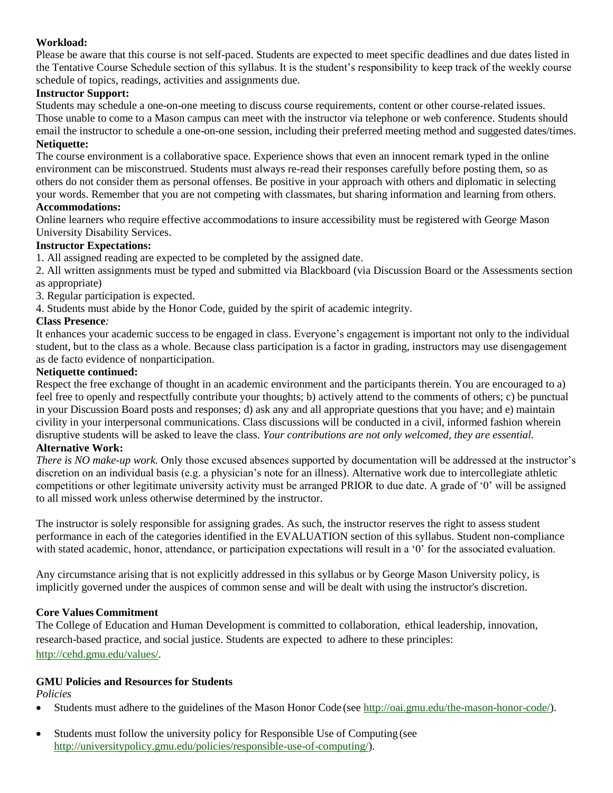#### **Workload:**

Please be aware that this course is not self-paced. Students are expected to meet specific deadlines and due dates listed in the Tentative Course Schedule section of this syllabus. It is the student's responsibility to keep track of the weekly course schedule of topics, readings, activities and assignments due.

#### **Instructor Support:**

Students may schedule a one-on-one meeting to discuss course requirements, content or other course-related issues. Those unable to come to a Mason campus can meet with the instructor via telephone or web conference. Students should email the instructor to schedule a one-on-one session, including their preferred meeting method and suggested dates/times.

#### **Netiquette:**

The course environment is a collaborative space. Experience shows that even an innocent remark typed in the online environment can be misconstrued. Students must always re-read their responses carefully before posting them, so as others do not consider them as personal offenses. Be positive in your approach with others and diplomatic in selecting your words. Remember that you are not competing with classmates, but sharing information and learning from others.

#### **Accommodations:**

Online learners who require effective accommodations to insure accessibility must be registered with George Mason University Disability Services.

#### **Instructor Expectations:**

1. All assigned reading are expected to be completed by the assigned date.

2. All written assignments must be typed and submitted via Blackboard (via Discussion Board or the Assessments section as appropriate)

3. Regular participation is expected.

4. Students must abide by the Honor Code, guided by the spirit of academic integrity.

#### **Class Presence***:*

It enhances your academic success to be engaged in class. Everyone's engagement is important not only to the individual student, but to the class as a whole. Because class participation is a factor in grading, instructors may use disengagement as de facto evidence of nonparticipation.

#### **Netiquette continued:**

Respect the free exchange of thought in an academic environment and the participants therein. You are encouraged to a) feel free to openly and respectfully contribute your thoughts; b) actively attend to the comments of others; c) be punctual in your Discussion Board posts and responses; d) ask any and all appropriate questions that you have; and e) maintain civility in your interpersonal communications. Class discussions will be conducted in a civil, informed fashion wherein disruptive students will be asked to leave the class. *Your contributions are not only welcomed, they are essential.* **Alternative Work:**

*There is NO make-up work.* Only those excused absences supported by documentation will be addressed at the instructor's discretion on an individual basis (e.g. a physician's note for an illness). Alternative work due to intercollegiate athletic competitions or other legitimate university activity must be arranged PRIOR to due date. A grade of '0' will be assigned to all missed work unless otherwise determined by the instructor.

The instructor is solely responsible for assigning grades. As such, the instructor reserves the right to assess student performance in each of the categories identified in the EVALUATION section of this syllabus. Student non-compliance with stated academic, honor, attendance, or participation expectations will result in a '0' for the associated evaluation.

Any circumstance arising that is not explicitly addressed in this syllabus or by George Mason University policy, is implicitly governed under the auspices of common sense and will be dealt with using the instructor's discretion.

#### **Core Values Commitment**

The College of Education and Human Development is committed to collaboration, ethical leadership, innovation, research-based practice, and social justice. Students are expected to adhere to these principles: [http://cehd.gmu.edu/values/.](http://cehd.gmu.edu/values/)

### **GMU Policies and Resources for Students**

*Policies*

- Students must adhere to the guidelines of the Mason Honor Code (see [http://oai.gmu.edu/the-mason-honor-code/\)](http://oai.gmu.edu/the-mason-honor-code/).
- Students must follow the university policy for Responsible Use of Computing (see [http://universitypolicy.gmu.edu/policies/responsible-use-of-computing/\)](http://universitypolicy.gmu.edu/policies/responsible-use-of-computing/).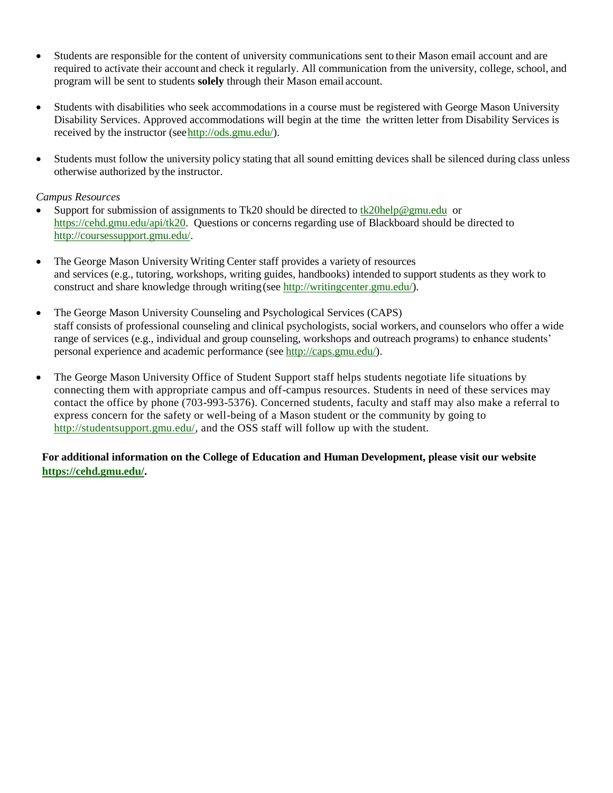- Students are responsible for the content of university communications sent to their Mason email account and are required to activate their account and check it regularly. All communication from the university, college, school, and program will be sent to students **solely** through their Mason email account.
- Students with disabilities who seek accommodations in a course must be registered with George Mason University Disability Services. Approved accommodations will begin at the time the written letter from Disability Services is received by the instructor (se[ehttp://ods.gmu.edu/\)](http://ods.gmu.edu/).
- Students must follow the university policy stating that all sound emitting devices shall be silenced during class unless otherwise authorized by the instructor.

#### *Campus Resources*

- Support for submission of assignments to Tk20 should be directed to [tk20help@gmu.edu](mailto:tk20help@gmu.edu) or [https://cehd.gmu.edu/api/tk20.](https://cehd.gmu.edu/api/tk20) Questions or concerns regarding use of Blackboard should be directed to [http://coursessupport.gmu.edu/.](http://coursessupport.gmu.edu/)
- The George Mason University Writing Center staff provides a variety of resources and services (e.g., tutoring, workshops, writing guides, handbooks) intended to support students as they work to construct and share knowledge through writing(see [http://writingcenter.gmu.edu/\)](http://writingcenter.gmu.edu/).
- The George Mason University Counseling and Psychological Services (CAPS) staff consists of professional counseling and clinical psychologists, social workers, and counselors who offer a wide range of services (e.g., individual and group counseling, workshops and outreach programs) to enhance students' personal experience and academic performance (see [http://caps.gmu.edu/\)](http://caps.gmu.edu/).
- The George Mason University Office of Student Support staff helps students negotiate life situations by connecting them with appropriate campus and off-campus resources. Students in need of these services may contact the office by phone (703-993-5376). Concerned students, faculty and staff may also make a referral to express concern for the safety or well-being of a Mason student or the community by going to [http://studentsupport.gmu.edu/,](http://studentsupport.gmu.edu/) and the OSS staff will follow up with the student.

## **For additional information on the College of Education and Human Development, please visit our website https://cehd.gmu.edu/.**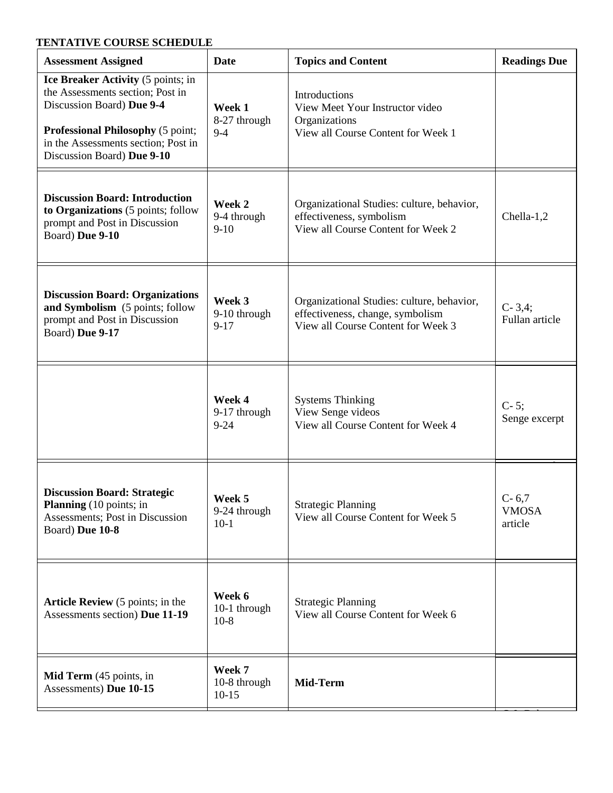# **TENTATIVE COURSE SCHEDULE**

| <b>Assessment Assigned</b>                                                                                                                                                                                    | <b>Date</b>                        | <b>Topics and Content</b>                                                                                            | <b>Readings Due</b>                  |
|---------------------------------------------------------------------------------------------------------------------------------------------------------------------------------------------------------------|------------------------------------|----------------------------------------------------------------------------------------------------------------------|--------------------------------------|
| Ice Breaker Activity (5 points; in<br>the Assessments section; Post in<br>Discussion Board) Due 9-4<br>Professional Philosophy (5 point;<br>in the Assessments section; Post in<br>Discussion Board) Due 9-10 | Week 1<br>8-27 through<br>$9 - 4$  | Introductions<br>View Meet Your Instructor video<br>Organizations<br>View all Course Content for Week 1              |                                      |
| <b>Discussion Board: Introduction</b><br>to Organizations (5 points; follow<br>prompt and Post in Discussion<br>Board) Due 9-10                                                                               | Week 2<br>9-4 through<br>$9-10$    | Organizational Studies: culture, behavior,<br>effectiveness, symbolism<br>View all Course Content for Week 2         | Chella-1,2                           |
| <b>Discussion Board: Organizations</b><br>and Symbolism (5 points; follow<br>prompt and Post in Discussion<br>Board) Due 9-17                                                                                 | Week 3<br>9-10 through<br>$9 - 17$ | Organizational Studies: culture, behavior,<br>effectiveness, change, symbolism<br>View all Course Content for Week 3 | $C-3,4;$<br>Fullan article           |
|                                                                                                                                                                                                               | Week 4<br>9-17 through<br>$9 - 24$ | <b>Systems Thinking</b><br>View Senge videos<br>View all Course Content for Week 4                                   | $C-5;$<br>Senge excerpt              |
| <b>Discussion Board: Strategic</b><br><b>Planning</b> (10 points; in<br>Assessments; Post in Discussion<br>Board) Due 10-8                                                                                    | Week 5<br>9-24 through<br>$10-1$   | <b>Strategic Planning</b><br>View all Course Content for Week 5                                                      | $C - 6,7$<br><b>VMOSA</b><br>article |
| <b>Article Review</b> (5 points; in the<br>Assessments section) Due 11-19                                                                                                                                     | Week 6<br>10-1 through<br>$10-8$   | <b>Strategic Planning</b><br>View all Course Content for Week 6                                                      |                                      |
| Mid Term (45 points, in<br>Assessments) Due 10-15                                                                                                                                                             | Week 7<br>10-8 through<br>$10-15$  | Mid-Term                                                                                                             |                                      |

C-8; Baker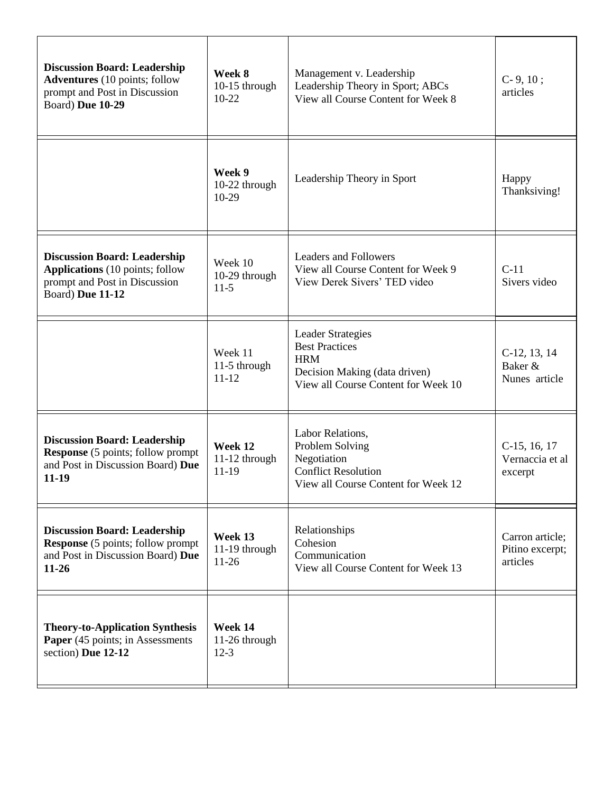| <b>Discussion Board: Leadership</b><br><b>Adventures</b> (10 points; follow<br>prompt and Post in Discussion<br>Board) Due 10-29   | Week 8<br>10-15 through<br>$10 - 22$ | Management v. Leadership<br>Leadership Theory in Sport; ABCs<br>View all Course Content for Week 8                                      | $C-9, 10;$<br>articles                         |
|------------------------------------------------------------------------------------------------------------------------------------|--------------------------------------|-----------------------------------------------------------------------------------------------------------------------------------------|------------------------------------------------|
|                                                                                                                                    | Week 9<br>10-22 through<br>$10-29$   | Leadership Theory in Sport                                                                                                              | Happy<br>Thanksiving!                          |
| <b>Discussion Board: Leadership</b><br><b>Applications</b> (10 points; follow<br>prompt and Post in Discussion<br>Board) Due 11-12 | Week 10<br>10-29 through<br>$11-5$   | <b>Leaders and Followers</b><br>View all Course Content for Week 9<br>View Derek Sivers' TED video                                      | $C-11$<br>Sivers video                         |
|                                                                                                                                    | Week 11<br>11-5 through<br>$11 - 12$ | <b>Leader Strategies</b><br><b>Best Practices</b><br><b>HRM</b><br>Decision Making (data driven)<br>View all Course Content for Week 10 | $C-12, 13, 14$<br>Baker &<br>Nunes article     |
| <b>Discussion Board: Leadership</b><br><b>Response</b> (5 points; follow prompt<br>and Post in Discussion Board) Due<br>$11-19$    | Week 12<br>11-12 through<br>11-19    | Labor Relations,<br>Problem Solving<br>Negotiation<br><b>Conflict Resolution</b><br>View all Course Content for Week 12                 | $C-15, 16, 17$<br>Vernaccia et al<br>excerpt   |
| <b>Discussion Board: Leadership</b><br><b>Response</b> (5 points; follow prompt<br>and Post in Discussion Board) Due<br>$11 - 26$  | Week 13<br>11-19 through<br>$11-26$  | Relationships<br>Cohesion<br>Communication<br>View all Course Content for Week 13                                                       | Carron article;<br>Pitino excerpt;<br>articles |
| <b>Theory-to-Application Synthesis</b><br>Paper (45 points; in Assessments<br>section) Due 12-12                                   | Week 14<br>11-26 through<br>$12-3$   |                                                                                                                                         |                                                |